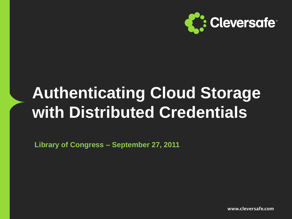

# **Authenticating Cloud Storage with Distributed Credentials**

**Library of Congress – September 27, 2011**

**www.cleversafe.com**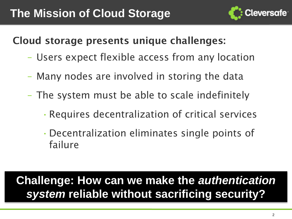

### **Cloud storage presents unique challenges:**

- Users expect flexible access from any location
- Many nodes are involved in storing the data
- The system must be able to scale indefinitely
	- •Requires decentralization of critical services
	- •Decentralization eliminates single points of failure

## **Challenge: How can we make the** *authentication system* **reliable without sacrificing security?**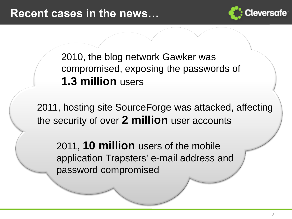

2010, the blog network Gawker was compromised, exposing the passwords of **1.3 million** users

2011, hosting site SourceForge was attacked, affecting the security of over **2 million** user accounts

2011, **10 million** users of the mobile application Trapsters' e-mail address and password compromised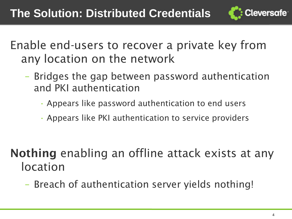

Enable end-users to recover a private key from any location on the network

- Bridges the gap between password authentication and PKI authentication
	- Appears like password authentication to end users
	- Appears like PKI authentication to service providers

- **Nothing** enabling an offline attack exists at any location
	- Breach of authentication server yields nothing!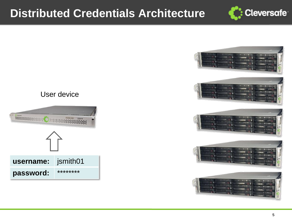



#### User device

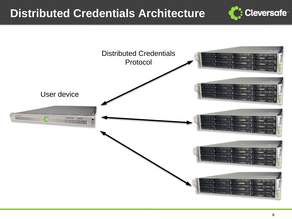

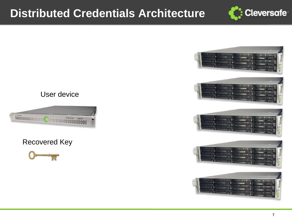



#### User device



#### Recovered Key

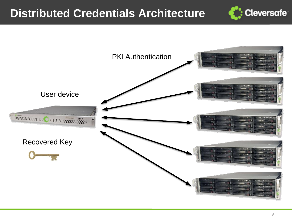

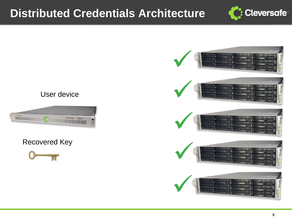

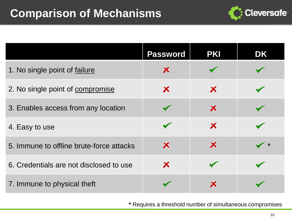

|                                          | <b>Password</b>           | <b>PKI</b> | DK            |
|------------------------------------------|---------------------------|------------|---------------|
| 1. No single point of failure            | $\boldsymbol{\mathsf{x}}$ |            |               |
| 2. No single point of compromise         | ×                         | ×          |               |
| 3. Enables access from any location      |                           | ×          |               |
| 4. Easy to use                           |                           | ×          |               |
| 5. Immune to offline brute-force attacks | Х                         | ×          | $\rightarrow$ |
| 6. Credentials are not disclosed to use  | ×                         |            |               |
| 7. Immune to physical theft              |                           | х          |               |

**\*** Requires a threshold number of simultaneous compromises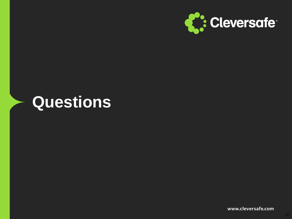

## **Questions**

**www.cleversafe.com**

11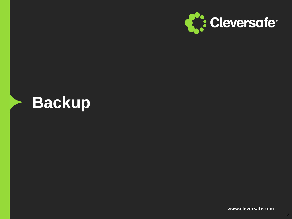

## **Backup**

**www.cleversafe.com**

12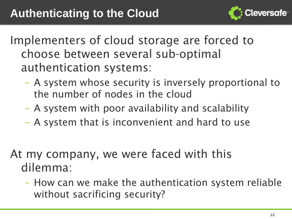

Implementers of cloud storage are forced to choose between several sub-optimal authentication systems:

- A system whose security is inversely proportional to the number of nodes in the cloud
- A system with poor availability and scalability
- A system that is inconvenient and hard to use
- At my company, we were faced with this dilemma:
	- How can we make the authentication system reliable without sacrificing security?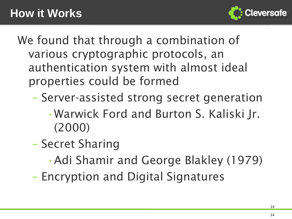

We found that through a combination of various cryptographic protocols, an authentication system with almost ideal properties could be formed

- Server-assisted strong secret generation
	- •Warwick Ford and Burton S. Kaliski Jr. (2000)
- Secret Sharing
	- •Adi Shamir and George Blakley (1979)
- Encryption and Digital Signatures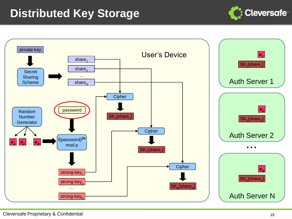## **Distributed Key Storage**



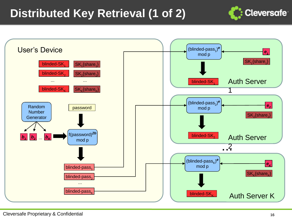## **Distributed Key Retrieval (1 of 2)**



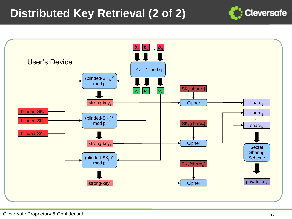## **Distributed Key Retrieval (2 of 2)**



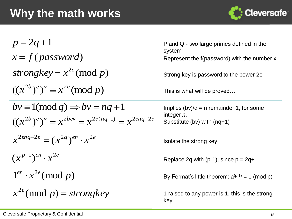

$$
p = 2q + 1
$$
  
\n $x = f(password)$   
\n $strongkey = x^{2e} \pmod{p}$   
\n $(x^{2b})^e)^v \equiv x^{2e} \pmod{p}$   
\n $bv \equiv 1 \pmod{q} \Rightarrow bv = nq + 1$   
\n $x^{2enq+2e} = (x^{2q})^{en} \cdot x^{2e}$   
\n $(x^{p-1})^{en} \cdot x^{2e}$   
\n $1^{en} \cdot x^{2e} \pmod{p}$   
\n $1^{en} \cdot x^{2e} \pmod{p}$   
\n $1^{en} \cdot x^{2e} \pmod{p}$   
\n $1^{en} \cdot x^{2e} \pmod{p}$   
\n $1^{en} \cdot x^{2e} \pmod{p}$   
\n $1^{en} \cdot x^{2e} \pmod{p}$   
\n $1^{en} \cdot x^{2e} \pmod{p}$   
\n $1^{en} \cdot x^{2e} \pmod{p}$   
\n $1^{en} \cdot x^{2e} \pmod{p}$   
\n $1^{en} \cdot x^{2e} \pmod{p}$   
\n $1^{en} \cdot x^{2e} \pmod{p}$   
\n $1^{en} \cdot x^{2e} \pmod{p}$   
\n $1^{en} \cdot x^{2e} \pmod{p}$   
\n $1^{en} \cdot x^{2e} \pmod{p}$   
\n $1^{en} \cdot x^{2e} \pmod{p}$   
\n $1^{en} \cdot x^{2e} \pmod{p}$   
\n $1^{en} \cdot x^{2e} \pmod{p}$   
\n $1^{en} \cdot x^{2e} \pmod{p}$   
\n $1^{en} \cdot x^{2e} \pmod{p}$   
\n $1^{en} \cdot x^{2e} \pmod{p}$   
\n $1^{en} \cdot x^{2e} \pmod{p}$   
\n $1^{en} \cdot x^{2e} \pmod{p}$   
\n $1^{en} \cdot x^{2e} \pmod{p}$   
\n $1^{en} \cdot x^{2e} \pmod{$